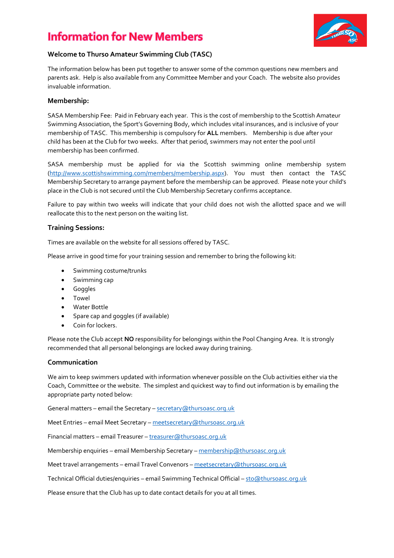# **Information for New Members**



## **Welcome to Thurso Amateur Swimming Club (TASC)**

The information below has been put together to answer some of the common questions new members and parents ask. Help is also available from any Committee Member and your Coach. The website also provides invaluable information.

#### **Membership:**

SASA Membership Fee: Paid in February each year. This is the cost of membership to the Scottish Amateur Swimming Association, the Sport's Governing Body, which includes vital insurances, and is inclusive of your membership of TASC. This membership is compulsory for **ALL** members. Membership is due after your child has been at the Club for two weeks. After that period, swimmers may not enter the pool until membership has been confirmed.

SASA membership must be applied for via the Scottish swimming online membership system [\(http://www.scottishswimming.com/members/membership.aspx\)](http://www.scottishswimming.com/members/membership.aspx). You must then contact the TASC Membership Secretary to arrange payment before the membership can be approved. Please note your child's place in the Club is not secured until the Club Membership Secretary confirms acceptance.

Failure to pay within two weeks will indicate that your child does not wish the allotted space and we will reallocate this to the next person on the waiting list.

#### **Training Sessions:**

Times are available on the website for all sessions offered by TASC.

Please arrive in good time for your training session and remember to bring the following kit:

- Swimming costume/trunks
- Swimming cap
- **•** Goggles
- Towel
- Water Bottle
- Spare cap and goggles (if available)
- Coin for lockers.

Please note the Club accept **NO** responsibility for belongings within the Pool Changing Area. It is strongly recommended that all personal belongings are locked away during training.

#### **Communication**

We aim to keep swimmers updated with information whenever possible on the Club activities either via the Coach, Committee or the website. The simplest and quickest way to find out information is by emailing the appropriate party noted below:

General matters – email the Secretary – secretary @thursoasc.org.uk

Meet Entries – email Meet Secretary – [meetsecretary@thursoasc.org.uk](mailto:meetsecretary@thursoasc.org.uk)

Financial matters – email Treasurer – [treasurer@thursoasc.org.uk](mailto:treasurer@thursoasc.org.uk)

Membership enquiries – email Membership Secretary – [membership@thursoasc.org.uk](mailto:membership@thursoasc.org.uk)

Meet travel arrangements – email Travel Convenors – [meetsecretary@thursoasc.org.uk](mailto:meetsecretary@thursoasc.org.uk)

Technical Official duties/enquiries – email Swimming Technical Official – [sto@thursoasc.org.uk](mailto:sto@thursoasc.org.uk)

Please ensure that the Club has up to date contact details for you at all times.